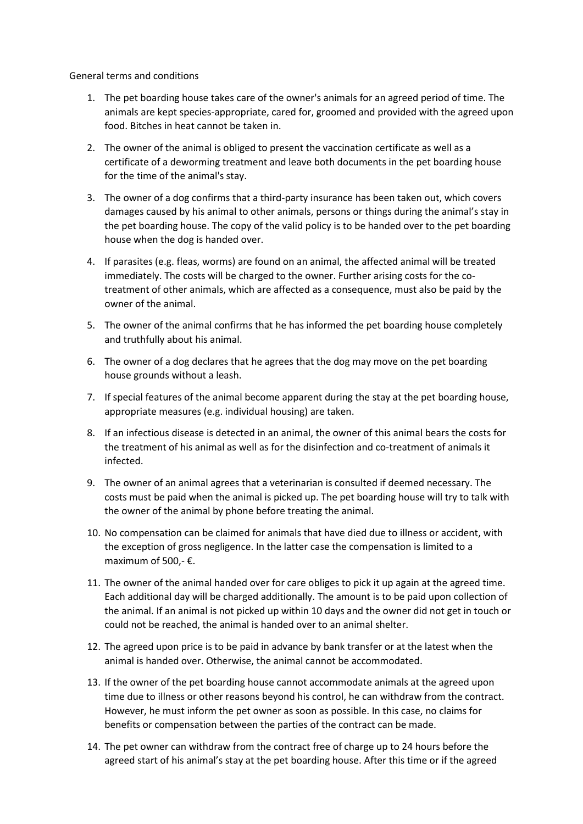General terms and conditions

- 1. The pet boarding house takes care of the owner's animals for an agreed period of time. The animals are kept species-appropriate, cared for, groomed and provided with the agreed upon food. Bitches in heat cannot be taken in.
- 2. The owner of the animal is obliged to present the vaccination certificate as well as a certificate of a deworming treatment and leave both documents in the pet boarding house for the time of the animal's stay.
- 3. The owner of a dog confirms that a third-party insurance has been taken out, which covers damages caused by his animal to other animals, persons or things during the animal's stay in the pet boarding house. The copy of the valid policy is to be handed over to the pet boarding house when the dog is handed over.
- 4. If parasites (e.g. fleas, worms) are found on an animal, the affected animal will be treated immediately. The costs will be charged to the owner. Further arising costs for the cotreatment of other animals, which are affected as a consequence, must also be paid by the owner of the animal.
- 5. The owner of the animal confirms that he has informed the pet boarding house completely and truthfully about his animal.
- 6. The owner of a dog declares that he agrees that the dog may move on the pet boarding house grounds without a leash.
- 7. If special features of the animal become apparent during the stay at the pet boarding house, appropriate measures (e.g. individual housing) are taken.
- 8. If an infectious disease is detected in an animal, the owner of this animal bears the costs for the treatment of his animal as well as for the disinfection and co-treatment of animals it infected.
- 9. The owner of an animal agrees that a veterinarian is consulted if deemed necessary. The costs must be paid when the animal is picked up. The pet boarding house will try to talk with the owner of the animal by phone before treating the animal.
- 10. No compensation can be claimed for animals that have died due to illness or accident, with the exception of gross negligence. In the latter case the compensation is limited to a maximum of 500,- €.
- 11. The owner of the animal handed over for care obliges to pick it up again at the agreed time. Each additional day will be charged additionally. The amount is to be paid upon collection of the animal. If an animal is not picked up within 10 days and the owner did not get in touch or could not be reached, the animal is handed over to an animal shelter.
- 12. The agreed upon price is to be paid in advance by bank transfer or at the latest when the animal is handed over. Otherwise, the animal cannot be accommodated.
- 13. If the owner of the pet boarding house cannot accommodate animals at the agreed upon time due to illness or other reasons beyond his control, he can withdraw from the contract. However, he must inform the pet owner as soon as possible. In this case, no claims for benefits or compensation between the parties of the contract can be made.
- 14. The pet owner can withdraw from the contract free of charge up to 24 hours before the agreed start of his animal's stay at the pet boarding house. After this time or if the agreed